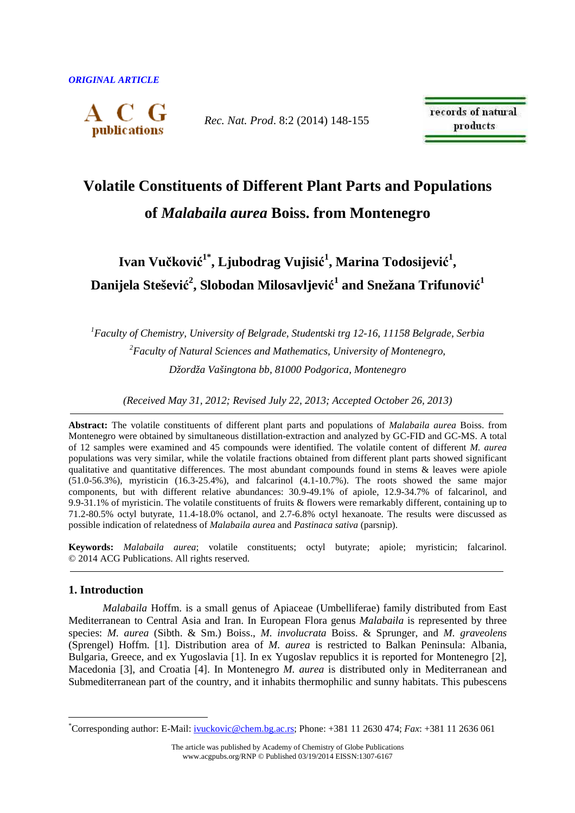

*Rec. Nat. Prod*. 8:2 (2014) 148-155

records of natural products

# **Volatile Constituents of Different Plant Parts and Populations** **of** *Malabaila aurea* **Boiss. from Montenegro**

## **Ivan Vučković 1\*, Ljubodrag Vujisić 1 , Marina Todosijević 1 , Danijela Stešević 2 , Slobodan Milosavljević 1 and Snežana Trifunović 1**

*<sup>1</sup>Faculty of Chemistry, University of Belgrade, Studentski trg 12-16, 11158 Belgrade, Serbia <sup>2</sup>Faculty of Natural Sciences and Mathematics, University of Montenegro, Džordža Vašingtona bb, 81000 Podgorica, Montenegro*

*(Received May 31, 2012; Revised July 22, 2013; Accepted October 26, 2013)* 

**Abstract:** The volatile constituents of different plant parts and populations of *Malabaila aurea* Boiss. from Montenegro were obtained by simultaneous distillation-extraction and analyzed by GC-FID and GC-MS. A total of 12 samples were examined and 45 compounds were identified. The volatile content of different *M. aurea* populations was very similar, while the volatile fractions obtained from different plant parts showed significant qualitative and quantitative differences. The most abundant compounds found in stems & leaves were apiole  $(51.0-56.3\%)$ , myristicin  $(16.3-25.4\%)$ , and falcarinol  $(4.1-10.7\%)$ . The roots showed the same major components, but with different relative abundances: 30.9-49.1% of apiole, 12.9-34.7% of falcarinol, and 9.9-31.1% of myristicin. The volatile constituents of fruits & flowers were remarkably different, containing up to 71.2-80.5% octyl butyrate, 11.4-18.0% octanol, and 2.7-6.8% octyl hexanoate. The results were discussed as possible indication of relatedness of *Malabaila aurea* and *Pastinaca sativa* (parsnip).

**Keywords:** *Malabaila aurea*; volatile constituents; octyl butyrate; apiole; myristicin; falcarinol. © 2014 ACG Publications. All rights reserved.

## **1. Introduction**

 $\overline{a}$ 

*Malabaila* Hoffm. is a small genus of Apiaceae (Umbelliferae) family distributed from East Mediterranean to Central Asia and Iran. In European Flora genus *Malabaila* is represented by three species: *M. aurea* (Sibth. & Sm.) Boiss., *M. involucrata* Boiss. & Sprunger, and *M. graveolens*  (Sprengel) Hoffm. [1]. Distribution area of *M. aurea* is restricted to Balkan Peninsula: Albania, Bulgaria, Greece, and ex Yugoslavia [1]. In ex Yugoslav republics it is reported for Montenegro [2], Macedonia [3], and Croatia [4]. In Montenegro *M. aurea* is distributed only in Mediterranean and Submediterranean part of the country, and it inhabits thermophilic and sunny habitats. This pubescens

<sup>\*</sup>Corresponding author: E-Mail: ivuckovic@chem.bg.ac.rs; Phone: +381 11 2630 474; *Fax*: +381 11 2636 061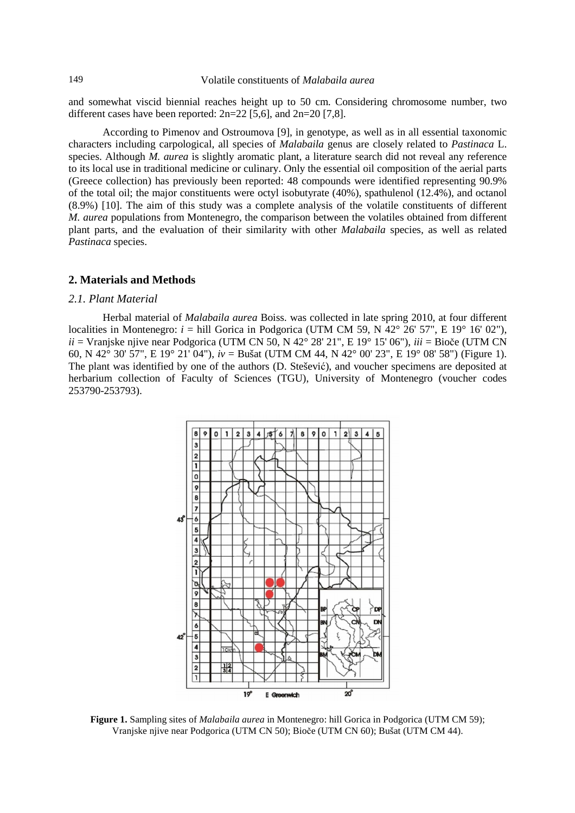and somewhat viscid biennial reaches height up to 50 cm. Considering chromosome number, two different cases have been reported:  $2n=22$  [5,6], and  $2n=20$  [7,8].

According to Pimenov and Ostroumova [9], in genotype, as well as in all essential taxonomic characters including carpological, all species of *Malabaila* genus are closely related to *Pastinaca* L. species. Although *M. aurea* is slightly aromatic plant, a literature search did not reveal any reference to its local use in traditional medicine or culinary. Only the essential oil composition of the aerial parts (Greece collection) has previously been reported: 48 compounds were identified representing 90.9% of the total oil; the major constituents were octyl isobutyrate (40%), spathulenol (12.4%), and octanol (8.9%) [10]. The aim of this study was a complete analysis of the volatile constituents of different *M. aurea* populations from Montenegro, the comparison between the volatiles obtained from different plant parts, and the evaluation of their similarity with other *Malabaila* species*,* as well as related *Pastinaca* species.

## **2. Materials and Methods**

#### *2.1. Plant Material*

Herbal material of *Malabaila aurea* Boiss. was collected in late spring 2010, at four different localities in Montenegro:  $i =$  hill Gorica in Podgorica (UTM CM 59, N  $42^{\circ}$  26' 57", E 19° 16' 02"), *ii* = Vranjske njive near Podgorica (UTM CN 50, N 42° 28' 21", E 19° 15' 06"), *iii* = Bioče (UTM CN 60, N 42° 30' 57", E 19° 21' 04"), *iv* = Bušat (UTM CM 44, N 42° 00' 23", E 19° 08' 58") (Figure 1). The plant was identified by one of the authors (D. Stešević), and voucher specimens are deposited at herbarium collection of Faculty of Sciences (TGU), University of Montenegro (voucher codes 253790-253793).



**Figure 1.** Sampling sites of *Malabaila aurea* in Montenegro: hill Gorica in Podgorica (UTM CM 59); Vranjske njive near Podgorica (UTM CN 50); Bioče (UTM CN 60); Bušat (UTM CM 44).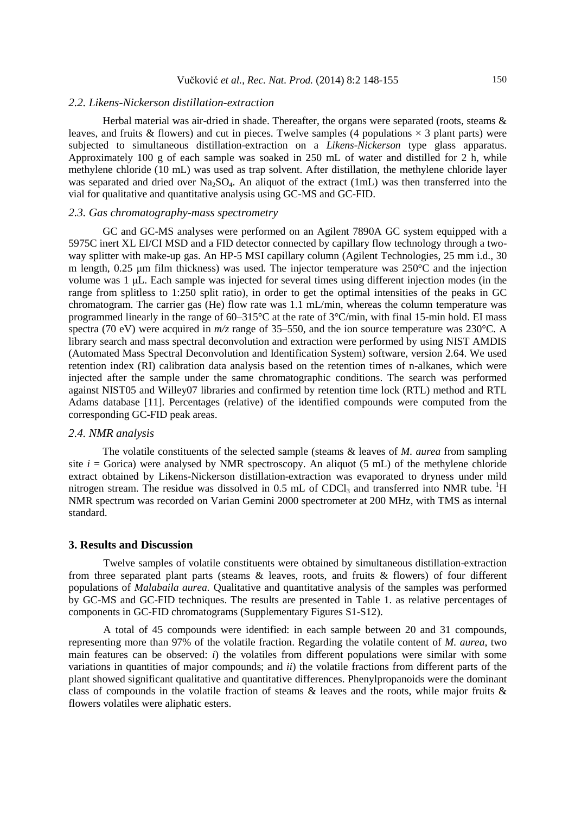## *2.2. Likens-Nickerson distillation-extraction*

Herbal material was air-dried in shade. Thereafter, the organs were separated (roots, steams  $\&$ leaves, and fruits & flowers) and cut in pieces. Twelve samples (4 populations  $\times$  3 plant parts) were subjected to simultaneous distillation-extraction on a *Likens*-*Nickerson* type glass apparatus. Approximately 100 g of each sample was soaked in 250 mL of water and distilled for 2 h, while methylene chloride (10 mL) was used as trap solvent. After distillation, the methylene chloride layer was separated and dried over  $Na<sub>2</sub>SO<sub>4</sub>$ . An aliquot of the extract (1mL) was then transferred into the vial for qualitative and quantitative analysis using GC-MS and GC-FID.

## *2.3. Gas chromatography-mass spectrometry*

GC and GC-MS analyses were performed on an Agilent 7890A GC system equipped with a 5975C inert XL EI/CI MSD and a FID detector connected by capillary flow technology through a twoway splitter with make-up gas. An HP-5 MSI capillary column (Agilent Technologies, 25 mm i.d., 30 m length,  $0.25$  µm film thickness) was used. The injector temperature was  $250^{\circ}$ C and the injection volume was 1 µL. Each sample was injected for several times using different injection modes (in the range from splitless to 1:250 split ratio), in order to get the optimal intensities of the peaks in GC chromatogram. The carrier gas (He) flow rate was 1.1 mL/min, whereas the column temperature was programmed linearly in the range of 60–315°C at the rate of 3°C/min, with final 15-min hold. EI mass spectra (70 eV) were acquired in  $m/z$  range of 35–550, and the ion source temperature was 230°C. A library search and mass spectral deconvolution and extraction were performed by using NIST AMDIS (Automated Mass Spectral Deconvolution and Identification System) software, version 2.64. We used retention index (RI) calibration data analysis based on the retention times of n-alkanes, which were injected after the sample under the same chromatographic conditions. The search was performed against NIST05 and Willey07 libraries and confirmed by retention time lock (RTL) method and RTL Adams database [11]. Percentages (relative) of the identified compounds were computed from the corresponding GC-FID peak areas.

#### *2.4. NMR analysis*

The volatile constituents of the selected sample (steams & leaves of *M. aurea* from sampling site  $i =$  Gorica) were analysed by NMR spectroscopy. An aliquot (5 mL) of the methylene chloride extract obtained by Likens-Nickerson distillation-extraction was evaporated to dryness under mild nitrogen stream. The residue was dissolved in  $0.5$  mL of CDCl<sub>3</sub> and transferred into NMR tube. <sup>1</sup>H NMR spectrum was recorded on Varian Gemini 2000 spectrometer at 200 MHz, with TMS as internal standard.

### **3. Results and Discussion**

Twelve samples of volatile constituents were obtained by simultaneous distillation-extraction from three separated plant parts (steams & leaves, roots, and fruits & flowers) of four different populations of *Malabaila aurea.* Qualitative and quantitative analysis of the samples was performed by GC-MS and GC-FID techniques. The results are presented in Table 1. as relative percentages of components in GC-FID chromatograms (Supplementary Figures S1-S12).

A total of 45 compounds were identified: in each sample between 20 and 31 compounds, representing more than 97% of the volatile fraction. Regarding the volatile content of *M. aurea*, two main features can be observed: *i*) the volatiles from different populations were similar with some variations in quantities of major compounds; and *ii*) the volatile fractions from different parts of the plant showed significant qualitative and quantitative differences. Phenylpropanoids were the dominant class of compounds in the volatile fraction of steams & leaves and the roots, while major fruits & flowers volatiles were aliphatic esters.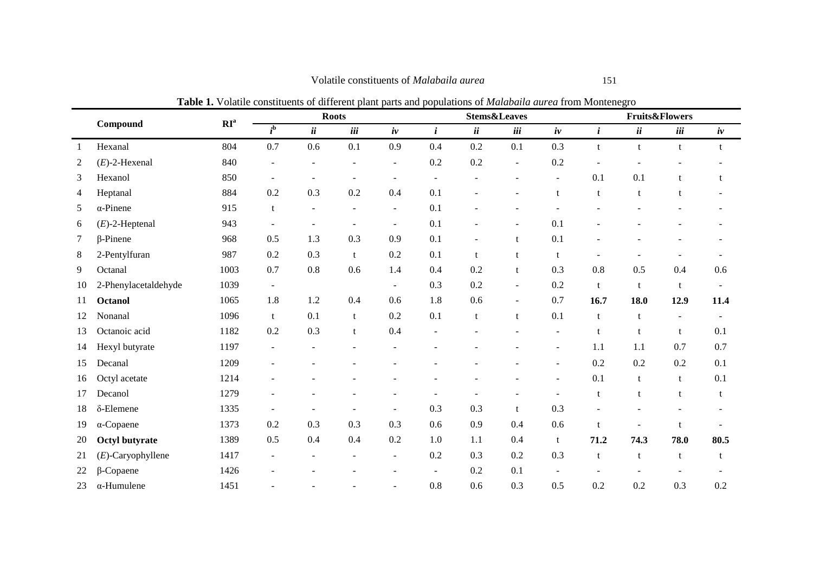|    |                      | $\mathbf{RI}^{\rm a}$ | <b>Table 1.</b> Volatile constituents of unferent plant parts and populations of <i>mutubunu unfeu</i> from montenegro<br><b>Roots</b> |                |                |                          |              |     | <b>Stems&amp;Leaves</b> |                          | <b>Fruits&amp;Flowers</b> |                |                |                          |  |
|----|----------------------|-----------------------|----------------------------------------------------------------------------------------------------------------------------------------|----------------|----------------|--------------------------|--------------|-----|-------------------------|--------------------------|---------------------------|----------------|----------------|--------------------------|--|
|    | Compound             |                       | $\overline{i}^{\rm b}$                                                                                                                 | ii             | iii            | iv                       | $\mathbf{i}$ | ii  | iii                     | iv                       | $\mathbf{i}$              | ii             | iii            | iv                       |  |
| 1  | Hexanal              | 804                   | 0.7                                                                                                                                    | 0.6            | 0.1            | 0.9                      | 0.4          | 0.2 | 0.1                     | 0.3                      | t                         | $\mathbf{t}$   | t              | t                        |  |
| 2  | $(E)$ -2-Hexenal     | 840                   |                                                                                                                                        |                |                | $\sim$                   | 0.2          | 0.2 |                         | 0.2                      |                           |                |                |                          |  |
| 3  | Hexanol              | 850                   | $\blacksquare$                                                                                                                         |                | $\blacksquare$ | $\sim$                   | $\sim$       |     |                         | $\blacksquare$           | 0.1                       | 0.1            | t              | t                        |  |
| 4  | Heptanal             | 884                   | 0.2                                                                                                                                    | 0.3            | 0.2            | 0.4                      | 0.1          |     |                         | t                        | t                         | t              |                |                          |  |
| 5  | $\alpha$ -Pinene     | 915                   | t                                                                                                                                      | $\overline{a}$ |                | $\sim$                   | 0.1          |     |                         |                          |                           |                |                |                          |  |
| 6  | $(E)$ -2-Heptenal    | 943                   |                                                                                                                                        |                |                | $\overline{\phantom{a}}$ | 0.1          |     |                         | 0.1                      |                           |                |                |                          |  |
| 7  | $\beta$ -Pinene      | 968                   | 0.5                                                                                                                                    | 1.3            | 0.3            | 0.9                      | 0.1          |     | $^{\dagger}$            | 0.1                      |                           |                |                |                          |  |
| 8  | 2-Pentylfuran        | 987                   | 0.2                                                                                                                                    | 0.3            | t              | 0.2                      | 0.1          | t   |                         | t                        |                           |                |                |                          |  |
| 9  | Octanal              | 1003                  | 0.7                                                                                                                                    | 0.8            | 0.6            | 1.4                      | 0.4          | 0.2 | t                       | 0.3                      | 0.8                       | 0.5            | 0.4            | 0.6                      |  |
| 10 | 2-Phenylacetaldehyde | 1039                  | $\blacksquare$                                                                                                                         |                |                | $\blacksquare$           | 0.3          | 0.2 | $\sim$                  | 0.2                      | t                         | t              | t              | $\overline{\phantom{a}}$ |  |
| 11 | <b>Octanol</b>       | 1065                  | 1.8                                                                                                                                    | 1.2            | 0.4            | 0.6                      | 1.8          | 0.6 | $\sim$                  | 0.7                      | 16.7                      | 18.0           | 12.9           | 11.4                     |  |
| 12 | Nonanal              | 1096                  | t                                                                                                                                      | 0.1            | t              | 0.2                      | 0.1          | t   | t                       | 0.1                      | t                         | t              | $\overline{a}$ | $\blacksquare$           |  |
| 13 | Octanoic acid        | 1182                  | 0.2                                                                                                                                    | 0.3            | t              | 0.4                      |              |     |                         | $\overline{\phantom{a}}$ |                           | $t_{\cdot}$    | t              | 0.1                      |  |
| 14 | Hexyl butyrate       | 1197                  |                                                                                                                                        |                |                |                          |              |     |                         | $\overline{\phantom{a}}$ | 1.1                       | 1.1            | 0.7            | 0.7                      |  |
| 15 | Decanal              | 1209                  |                                                                                                                                        |                |                |                          |              |     |                         | $\blacksquare$           | 0.2                       | 0.2            | 0.2            | 0.1                      |  |
| 16 | Octyl acetate        | 1214                  |                                                                                                                                        |                |                |                          |              |     |                         |                          | 0.1                       | t              | t              | 0.1                      |  |
| 17 | Decanol              | 1279                  |                                                                                                                                        |                |                |                          |              |     |                         |                          |                           | t              | t              | t                        |  |
| 18 | $\delta$ -Elemene    | 1335                  |                                                                                                                                        |                |                |                          | 0.3          | 0.3 | $\mathbf{f}$            | 0.3                      |                           |                |                |                          |  |
| 19 | $\alpha$ -Copaene    | 1373                  | 0.2                                                                                                                                    | 0.3            | 0.3            | 0.3                      | 0.6          | 0.9 | 0.4                     | 0.6                      | $\mathbf{f}$              | $\overline{a}$ | t              |                          |  |
| 20 | Octyl butyrate       | 1389                  | 0.5                                                                                                                                    | 0.4            | 0.4            | 0.2                      | 1.0          | 1.1 | 0.4                     | t                        | 71.2                      | 74.3           | 78.0           | 80.5                     |  |
| 21 | $(E)$ -Caryophyllene | 1417                  | $\overline{\phantom{a}}$                                                                                                               |                |                | $\blacksquare$           | 0.2          | 0.3 | 0.2                     | 0.3                      | t                         | t              | t              | t                        |  |
| 22 | β-Copaene            | 1426                  |                                                                                                                                        |                |                |                          | $\sim$       | 0.2 | 0.1                     |                          |                           |                |                |                          |  |

23 α-Humulene 1451 - - - - 0.8 0.6 0.3 0.5 0.2 0.2 0.3 0.2

**Table 1.** Volatile constituents of different plant parts and populations of *Malabaila aurea* from Montenegro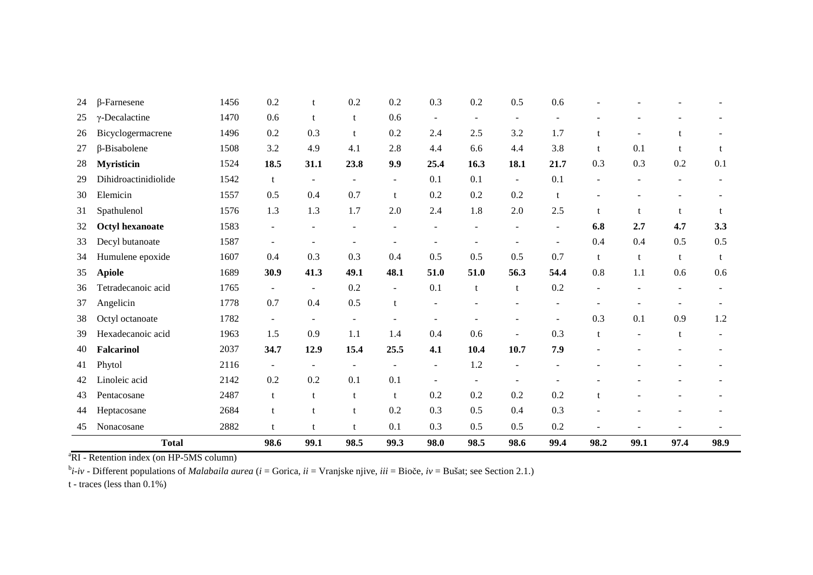| 24 | $\beta$ -Farnesene     | 1456 | 0.2                      |                | 0.2                      | 0.2            | 0.3                      | 0.2     | 0.5    | 0.6                      |      |      |                          |     |
|----|------------------------|------|--------------------------|----------------|--------------------------|----------------|--------------------------|---------|--------|--------------------------|------|------|--------------------------|-----|
| 25 | $\gamma$ -Decalactine  | 1470 | 0.6                      | $\mathbf{t}$   | t                        | 0.6            | $\sim$                   | $\sim$  | $\sim$ | $\blacksquare$           |      |      |                          |     |
| 26 | Bicyclogermacrene      | 1496 | 0.2                      | 0.3            | $\mathbf{t}$             | 0.2            | 2.4                      | 2.5     | 3.2    | 1.7                      |      |      |                          |     |
| 27 | $\beta$ -Bisabolene    | 1508 | 3.2                      | 4.9            | 4.1                      | 2.8            | 4.4                      | 6.6     | 4.4    | 3.8                      | t    | 0.1  | t                        |     |
| 28 | <b>Myristicin</b>      | 1524 | 18.5                     | 31.1           | 23.8                     | 9.9            | 25.4                     | 16.3    | 18.1   | 21.7                     | 0.3  | 0.3  | 0.2                      | 0.1 |
| 29 | Dihidroactinidiolide   | 1542 | t                        | $\overline{a}$ | $\sim$                   | $\sim$         | 0.1                      | 0.1     | $\sim$ | 0.1                      |      |      |                          |     |
| 30 | Elemicin               | 1557 | 0.5                      | 0.4            | 0.7                      | t              | 0.2                      | 0.2     | 0.2    | t                        |      |      |                          |     |
| 31 | Spathulenol            | 1576 | 1.3                      | 1.3            | 1.7                      | 2.0            | 2.4                      | 1.8     | 2.0    | 2.5                      | t    | t    | t                        |     |
| 32 | <b>Octyl hexanoate</b> | 1583 | $\overline{\phantom{a}}$ |                |                          |                |                          |         |        | $\overline{\phantom{a}}$ | 6.8  | 2.7  | 4.7                      | 3.3 |
| 33 | Decyl butanoate        | 1587 | $\overline{\phantom{a}}$ |                | $\overline{\phantom{a}}$ | $\overline{a}$ |                          |         |        | $\overline{\phantom{a}}$ | 0.4  | 0.4  | 0.5                      | 0.5 |
| 34 | Humulene epoxide       | 1607 | 0.4                      | 0.3            | 0.3                      | 0.4            | 0.5                      | 0.5     | 0.5    | 0.7                      | t    | t    | t                        | t   |
| 35 | <b>Apiole</b>          | 1689 | 30.9                     | 41.3           | 49.1                     | 48.1           | 51.0                     | 51.0    | 56.3   | 54.4                     | 0.8  | 1.1  | 0.6                      | 0.6 |
| 36 | Tetradecanoic acid     | 1765 | $\blacksquare$           | $\blacksquare$ | 0.2                      | $\sim$         | 0.1                      | t       | t      | 0.2                      |      |      | $\overline{\phantom{a}}$ |     |
| 37 | Angelicin              | 1778 | 0.7                      | 0.4            | 0.5                      | t              |                          |         |        |                          |      |      |                          |     |
| 38 | Octyl octanoate        | 1782 | $\blacksquare$           | $\blacksquare$ | $\overline{\phantom{a}}$ |                |                          |         |        | $\overline{a}$           | 0.3  | 0.1  | 0.9                      | 1.2 |
| 39 | Hexadecanoic acid      | 1963 | 1.5                      | 0.9            | 1.1                      | 1.4            | 0.4                      | 0.6     | ÷      | 0.3                      | t    |      | t                        |     |
| 40 | <b>Falcarinol</b>      | 2037 | 34.7                     | 12.9           | 15.4                     | 25.5           | 4.1                      | 10.4    | 10.7   | 7.9                      |      |      |                          |     |
| 41 | Phytol                 | 2116 | $\overline{\phantom{a}}$ | $\overline{a}$ |                          |                | $\overline{a}$           | 1.2     |        | $\overline{\phantom{a}}$ |      |      |                          |     |
| 42 | Linoleic acid          | 2142 | 0.2                      | 0.2            | 0.1                      | 0.1            | $\overline{\phantom{a}}$ | $\sim$  |        |                          |      |      |                          |     |
| 43 | Pentacosane            | 2487 | t                        | $\mathbf{f}$   | $\mathbf{t}$             | t              | 0.2                      | 0.2     | 0.2    | 0.2                      |      |      |                          |     |
| 44 | Heptacosane            | 2684 | t                        |                |                          | 0.2            | 0.3                      | 0.5     | 0.4    | 0.3                      |      |      |                          |     |
| 45 | Nonacosane             | 2882 | t                        | t              |                          | 0.1            | 0.3                      | $0.5\,$ | 0.5    | $0.2\,$                  |      |      |                          |     |
|    | <b>Total</b>           | 98.6 | 99.1                     | 98.5           | 99.3                     | 98.0           | 98.5                     | 98.6    | 99.4   | 98.2                     | 99.1 | 97.4 | 98.9                     |     |

<sup>a</sup>RI - Retention index (on HP-5MS column)

<sup>b</sup>*i*-*iv* - Different populations of *Malabaila aurea* (*<sup>i</sup>* = Gorica, *ii* = Vranjske njive, *iii* = Bioče, *iv* = Bušat; see Section 2.1.)

t - traces (less than 0.1%)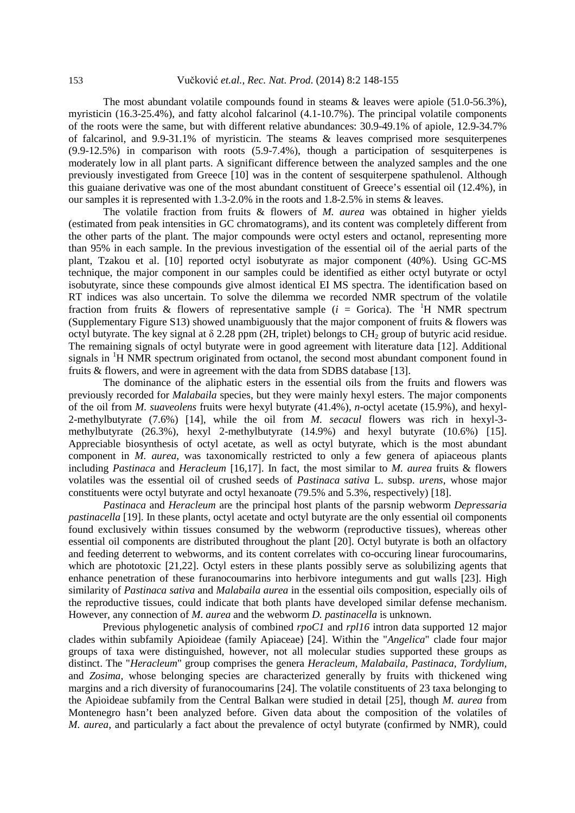The most abundant volatile compounds found in steams  $\&$  leaves were apiole (51.0-56.3%), myristicin (16.3-25.4%), and fatty alcohol falcarinol (4.1-10.7%). The principal volatile components of the roots were the same, but with different relative abundances: 30.9-49.1% of apiole, 12.9-34.7% of falcarinol, and 9.9-31.1% of myristicin. The steams & leaves comprised more sesquiterpenes (9.9-12.5%) in comparison with roots (5.9-7.4%), though a participation of sesquiterpenes is moderately low in all plant parts. A significant difference between the analyzed samples and the one previously investigated from Greece [10] was in the content of sesquiterpene spathulenol. Although this guaiane derivative was one of the most abundant constituent of Greece's essential oil (12.4%), in our samples it is represented with 1.3-2.0% in the roots and 1.8-2.5% in stems & leaves.

The volatile fraction from fruits & flowers of *M. aurea* was obtained in higher yields (estimated from peak intensities in GC chromatograms), and its content was completely different from the other parts of the plant. The major compounds were octyl esters and octanol, representing more than 95% in each sample. In the previous investigation of the essential oil of the aerial parts of the plant, Tzakou et al. [10] reported octyl isobutyrate as major component (40%). Using GC-MS technique, the major component in our samples could be identified as either octyl butyrate or octyl isobutyrate, since these compounds give almost identical EI MS spectra. The identification based on RT indices was also uncertain. To solve the dilemma we recorded NMR spectrum of the volatile fraction from fruits & flowers of representative sample  $(i = Gorica)$ . The <sup>1</sup>H NMR spectrum (Supplementary Figure S13) showed unambiguously that the major component of fruits & flowers was octyl butyrate. The key signal at  $\delta$  2.28 ppm (2H, triplet) belongs to CH<sub>2</sub> group of butyric acid residue. The remaining signals of octyl butyrate were in good agreement with literature data [12]. Additional signals in  ${}^{1}H$  NMR spectrum originated from octanol, the second most abundant component found in fruits & flowers, and were in agreement with the data from SDBS database [13].

The dominance of the aliphatic esters in the essential oils from the fruits and flowers was previously recorded for *Malabaila* species, but they were mainly hexyl esters. The major components of the oil from *M. suaveolens* fruits were hexyl butyrate (41.4%), *n*-octyl acetate (15.9%), and hexyl-2-methylbutyrate (7.6%) [14], while the oil from *M. secacul* flowers was rich in hexyl-3 methylbutyrate (26.3%), hexyl 2-methylbutyrate (14.9%) and hexyl butyrate (10.6%) [15]. Appreciable biosynthesis of octyl acetate, as well as octyl butyrate, which is the most abundant component in *M. aurea*, was taxonomically restricted to only a few genera of apiaceous plants including *Pastinaca* and *Heracleum* [16,17]. In fact, the most similar to *M. aurea* fruits & flowers volatiles was the essential oil of crushed seeds of *Pastinaca sativa* L. subsp. *urens*, whose major constituents were octyl butyrate and octyl hexanoate (79.5% and 5.3%, respectively) [18].

*Pastinaca* and *Heracleum* are the principal host plants of the parsnip webworm *Depressaria pastinacella* [19]. In these plants, octyl acetate and octyl butyrate are the only essential oil components found exclusively within tissues consumed by the webworm (reproductive tissues), whereas other essential oil components are distributed throughout the plant [20]. Octyl butyrate is both an olfactory and feeding deterrent to webworms, and its content correlates with co-occuring linear furocoumarins, which are phototoxic [21,22]. Octyl esters in these plants possibly serve as solubilizing agents that enhance penetration of these furanocoumarins into herbivore integuments and gut walls [23]. High similarity of *Pastinaca sativa* and *Malabaila aurea* in the essential oils composition, especially oils of the reproductive tissues, could indicate that both plants have developed similar defense mechanism. However, any connection of *M. aurea* and the webworm *D. pastinacella* is unknown.

Previous phylogenetic analysis of combined *rpoC1* and *rpl16* intron data supported 12 major clades within subfamily Apioideae (family Apiaceae) [24]. Within the "*Angelica*" clade four major groups of taxa were distinguished, however, not all molecular studies supported these groups as distinct. The "*Heracleum*" group comprises the genera *Heracleum, Malabaila, Pastinaca, Tordylium,*  and *Zosima,* whose belonging species are characterized generally by fruits with thickened wing margins and a rich diversity of furanocoumarins [24]. The volatile constituents of 23 taxa belonging to the Apioideae subfamily from the Central Balkan were studied in detail [25], though *M. aurea* from Montenegro hasn't been analyzed before. Given data about the composition of the volatiles of *M. aurea*, and particularly a fact about the prevalence of octyl butyrate (confirmed by NMR), could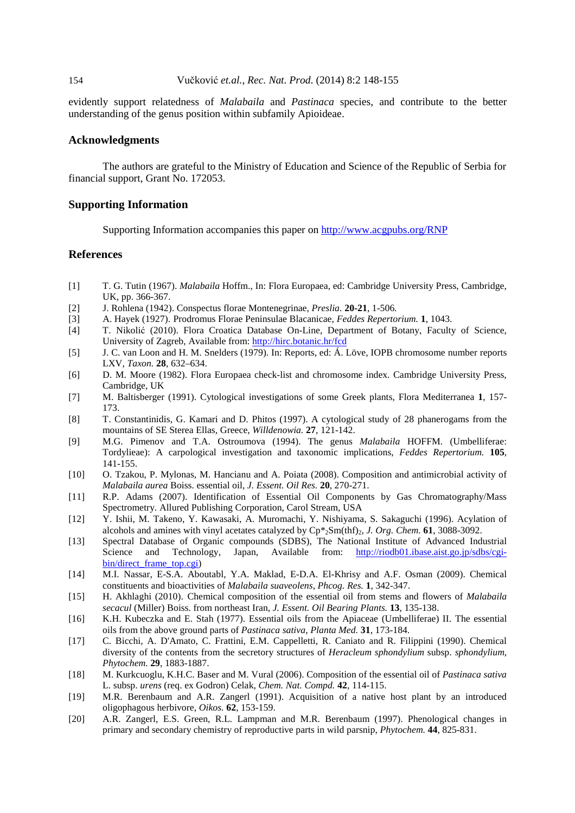## 154 Vučković *et.al.*, *Rec. Nat. Prod*. (2014) 8:2 148-155

evidently support relatedness of *Malabaila* and *Pastinaca* species, and contribute to the better understanding of the genus position within subfamily Apioideae.

#### **Acknowledgments**

The authors are grateful to the Ministry of Education and Science of the Republic of Serbia for financial support, Grant No. 172053.

#### **Supporting Information**

Supporting Information accompanies this paper on http://www.acgpubs.org/RNP

#### **References**

- [1] T. G. Tutin (1967). *Malabaila* Hoffm., In: Flora Europaea, ed: Cambridge University Press, Cambridge, UK, pp. 366-367.
- [2] J. Rohlena (1942). Conspectus florae Montenegrinae, *Preslia.* **20-21**, 1-506*.*
- [3] A. Hayek (1927). Prodromus Florae Peninsulae Blacanicae, *Feddes Repertorium.* **1**, 1043.
- [4] T. Nikolić (2010). Flora Croatica Database On-Line, Department of Botany, Faculty of Science, University of Zagreb, Available from: http://hirc.botanic.hr/fcd
- [5] J. C. van Loon and H. M. Snelders (1979). In: Reports, ed: Á. Löve, IOPB chromosome number reports LXV, *Taxon.* **28**, 632–634.
- [6] D. M. Moore (1982). Flora Europaea check-list and chromosome index. Cambridge University Press, Cambridge, UK
- [7] M. Baltisberger (1991). Cytological investigations of some Greek plants, Flora Mediterranea **1**, 157- 173.
- [8] T. Constantinidis, G. Kamari and D. Phitos (1997). A cytological study of 28 phanerogams from the mountains of SE Sterea Ellas, Greece, *Willdenowia.* **27**, 121-142.
- [9] M.G. Pimenov and T.A. Ostroumova (1994). The genus *Malabaila* HOFFM. (Umbelliferae: Tordylieae): A carpological investigation and taxonomic implications, *Feddes Repertorium.* **105**, 141-155.
- [10] O. Tzakou, P. Mylonas, M. Hancianu and A. Poiata (2008). Composition and antimicrobial activity of *Malabaila aurea* Boiss. essential oil, *J. Essent. Oil Res.* **20**, 270-271.
- [11] R.P. Adams (2007). Identification of Essential Oil Components by Gas Chromatography/Mass Spectrometry. Allured Publishing Corporation, Carol Stream, USA
- [12] Y. Ishii, M. Takeno, Y. Kawasaki, A. Muromachi, Y. Nishiyama, S. Sakaguchi (1996). Acylation of alcohols and amines with vinyl acetates catalyzed by  $Cp*_{2}Sm(thf)_{2}$ , *J. Org. Chem.* **61**, 3088-3092.
- [13] Spectral Database of Organic compounds (SDBS), The National Institute of Advanced Industrial Science and Technology, Japan, Available from: http://riodb01.ibase.aist.go.jp/sdbs/cgibin/direct\_frame\_top.cgi)
- [14] M.I. Nassar, E-S.A. Aboutabl, Y.A. Maklad, E-D.A. El-Khrisy and A.F. Osman (2009). Chemical constituents and bioactivities of *Malabaila suaveolens*, *Phcog. Res.* **1**, 342-347.
- [15] H. Akhlaghi (2010). Chemical composition of the essential oil from stems and flowers of *Malabaila secacul* (Miller) Boiss. from northeast Iran, *J. Essent. Oil Bearing Plants.* **13**, 135-138.
- [16] K.H. Kubeczka and E. Stah (1977). Essential oils from the Apiaceae (Umbelliferae) II. The essential oils from the above ground parts of *Pastinaca sativa*, *Planta Med.* **31**, 173-184.
- [17] C. Bicchi, A. D'Amato, C. Frattini, E.M. Cappelletti, R. Caniato and R. Filippini (1990). Chemical diversity of the contents from the secretory structures of *Heracleum sphondylium* subsp. *sphondylium*, *Phytochem.* **29**, 1883-1887.
- [18] M. Kurkcuoglu, K.H.C. Baser and M. Vural (2006). Composition of the essential oil of *Pastinaca sativa*  L. subsp. *urens* (req. ex Godron) Celak, *Chem. Nat. Compd.* **42**, 114-115.
- [19] M.R. Berenbaum and A.R. Zangerl (1991). Acquisition of a native host plant by an introduced oligophagous herbivore, *Oikos.* **62**, 153-159.
- [20] A.R. Zangerl, E.S. Green, R.L. Lampman and M.R. Berenbaum (1997). Phenological changes in primary and secondary chemistry of reproductive parts in wild parsnip, *Phytochem.* **44**, 825-831.